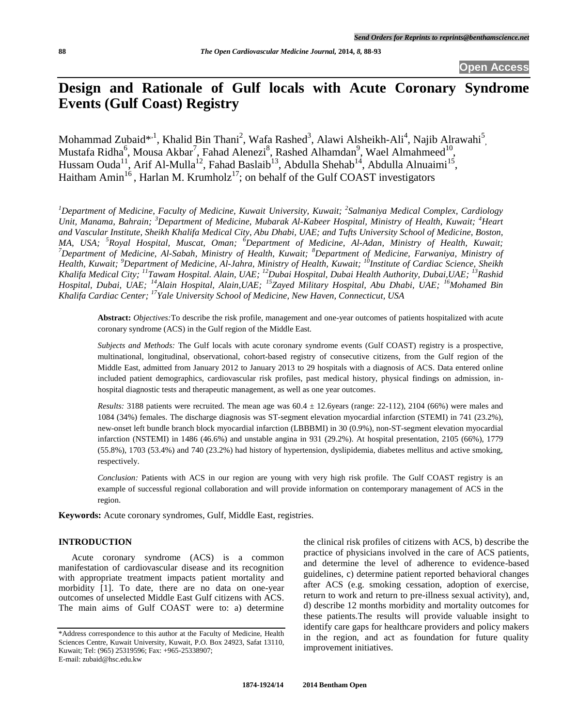**Open Access**

# **Design and Rationale of Gulf locals with Acute Coronary Syndrome Events (Gulf Coast) Registry**

Mohammad Zubaid\*,<sup>1</sup>, Khalid Bin Thani<sup>2</sup>, Wafa Rashed<sup>3</sup>, Alawi Alsheikh-Ali<sup>4</sup>, Najib Alrawahi<sup>5</sup>, Mustafa Ridha<sup>6</sup>, Mousa Akbar<sup>7</sup>, Fahad Alenezi<sup>8</sup>, Rashed Alhamdan<sup>9</sup>, Wael Almahmeed<sup>10</sup>, Hussam Ouda<sup>11</sup>, Arif Al-Mulla<sup>12</sup>, Fahad Baslaib<sup>13</sup>, Abdulla Shehab<sup>14</sup>, Abdulla Alnuaimi<sup>15</sup>, Haitham Amin<sup>16</sup>, Harlan M. Krumholz<sup>17</sup>; on behalf of the Gulf COAST investigators

<sup>1</sup>Department of Medicine, Faculty of Medicine, Kuwait University, Kuwait; <sup>2</sup>Salmaniya Medical Complex, Cardiology *Unit, Manama, Bahrain; <sup>3</sup>Department of Medicine, Mubarak Al-Kabeer Hospital, Ministry of Health, Kuwait; <sup>4</sup>Heart and Vascular Institute, Sheikh Khalifa Medical City, Abu Dhabi, UAE; and Tufts University School of Medicine, Boston, MA, USA; <sup>5</sup>Royal Hospital, Muscat, Oman; <sup>6</sup>Department of Medicine, Al-Adan, Ministry of Health, Kuwait; <sup>7</sup>Department of Medicine, Al-Sabah, Ministry of Health, Kuwait; <sup>8</sup>Department of Medicine, Farwaniya, Ministry of Health, Kuwait; <sup>9</sup>Department of Medicine, Al-Jahra, Ministry of Health, Kuwait; <sup>10</sup>Institute of Cardiac Science, Sheikh Khalifa Medical City; <sup>11</sup>Tawam Hospital. Alain, UAE; <sup>12</sup>Dubai Hospital, Dubai Health Authority, Dubai,UAE; <sup>13</sup>Rashid Hospital, Dubai, UAE; <sup>14</sup>Alain Hospital, Alain,UAE; <sup>15</sup>Zayed Military Hospital, Abu Dhabi, UAE; <sup>16</sup>Mohamed Bin Khalifa Cardiac Center; <sup>17</sup>Yale University School of Medicine, New Haven, Connecticut, USA*

**Abstract:** *Objectives:*To describe the risk profile, management and one-year outcomes of patients hospitalized with acute coronary syndrome (ACS) in the Gulf region of the Middle East.

*Subjects and Methods:* The Gulf locals with acute coronary syndrome events (Gulf COAST) registry is a prospective, multinational, longitudinal, observational, cohort-based registry of consecutive citizens, from the Gulf region of the Middle East, admitted from January 2012 to January 2013 to 29 hospitals with a diagnosis of ACS. Data entered online included patient demographics, cardiovascular risk profiles, past medical history, physical findings on admission, inhospital diagnostic tests and therapeutic management, as well as one year outcomes.

*Results:* 3188 patients were recruited. The mean age was  $60.4 \pm 12.6$ years (range: 22-112), 2104 (66%) were males and 1084 (34%) females. The discharge diagnosis was ST-segment elevation myocardial infarction (STEMI) in 741 (23.2%), new-onset left bundle branch block myocardial infarction (LBBBMI) in 30 (0.9%), non-ST-segment elevation myocardial infarction (NSTEMI) in 1486 (46.6%) and unstable angina in 931 (29.2%). At hospital presentation, 2105 (66%), 1779 (55.8%), 1703 (53.4%) and 740 (23.2%) had history of hypertension, dyslipidemia, diabetes mellitus and active smoking, respectively.

*Conclusion:* Patients with ACS in our region are young with very high risk profile. The Gulf COAST registry is an example of successful regional collaboration and will provide information on contemporary management of ACS in the region.

**Keywords:** Acute coronary syndromes, Gulf, Middle East, registries.

# **INTRODUCTION**

Acute coronary syndrome (ACS) is a common manifestation of cardiovascular disease and its recognition with appropriate treatment impacts patient mortality and morbidity [1]. To date, there are no data on one-year outcomes of unselected Middle East Gulf citizens with ACS. The main aims of Gulf COAST were to: a) determine the clinical risk profiles of citizens with ACS, b) describe the practice of physicians involved in the care of ACS patients, and determine the level of adherence to evidence-based guidelines, c) determine patient reported behavioral changes after ACS (e.g. smoking cessation, adoption of exercise, return to work and return to pre-illness sexual activity), and, d) describe 12 months morbidity and mortality outcomes for these patients.The results will provide valuable insight to identify care gaps for healthcare providers and policy makers in the region, and act as foundation for future quality improvement initiatives.

<sup>\*</sup>Address correspondence to this author at the Faculty of Medicine, Health Sciences Centre, Kuwait University, Kuwait, P.O. Box 24923, Safat 13110, Kuwait; Tel: (965) 25319596; Fax: +965-25338907; E-mail: zubaid@hsc.edu.kw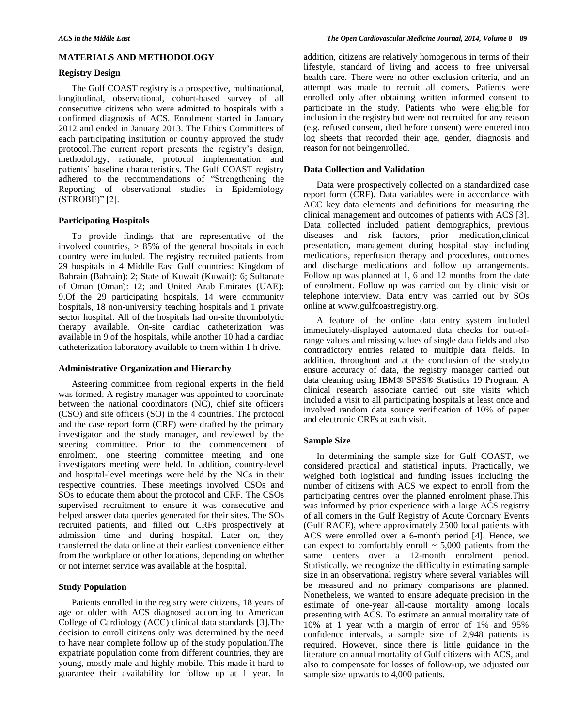# **MATERIALS AND METHODOLOGY**

# **Registry Design**

The Gulf COAST registry is a prospective, multinational, longitudinal, observational, cohort-based survey of all consecutive citizens who were admitted to hospitals with a confirmed diagnosis of ACS. Enrolment started in January 2012 and ended in January 2013. The Ethics Committees of each participating institution or country approved the study protocol.The current report presents the registry's design, methodology, rationale, protocol implementation and patients' baseline characteristics. The Gulf COAST registry adhered to the recommendations of "Strengthening the Reporting of observational studies in Epidemiology (STROBE)" [2].

## **Participating Hospitals**

To provide findings that are representative of the involved countries, > 85% of the general hospitals in each country were included. The registry recruited patients from 29 hospitals in 4 Middle East Gulf countries: Kingdom of Bahrain (Bahrain): 2; State of Kuwait (Kuwait): 6; Sultanate of Oman (Oman): 12; and United Arab Emirates (UAE): 9.Of the 29 participating hospitals, 14 were community hospitals, 18 non-university teaching hospitals and 1 private sector hospital. All of the hospitals had on-site thrombolytic therapy available. On-site cardiac catheterization was available in 9 of the hospitals, while another 10 had a cardiac catheterization laboratory available to them within 1 h drive.

## **Administrative Organization and Hierarchy**

Asteering committee from regional experts in the field was formed. A registry manager was appointed to coordinate between the national coordinators (NC), chief site officers (CSO) and site officers (SO) in the 4 countries. The protocol and the case report form (CRF) were drafted by the primary investigator and the study manager, and reviewed by the steering committee. Prior to the commencement of enrolment, one steering committee meeting and one investigators meeting were held. In addition, country-level and hospital-level meetings were held by the NCs in their respective countries. These meetings involved CSOs and SOs to educate them about the protocol and CRF. The CSOs supervised recruitment to ensure it was consecutive and helped answer data queries generated for their sites. The SOs recruited patients, and filled out CRFs prospectively at admission time and during hospital. Later on, they transferred the data online at their earliest convenience either from the workplace or other locations, depending on whether or not internet service was available at the hospital.

# **Study Population**

Patients enrolled in the registry were citizens, 18 years of age or older with ACS diagnosed according to American College of Cardiology (ACC) clinical data standards [3].The decision to enroll citizens only was determined by the need to have near complete follow up of the study population.The expatriate population come from different countries, they are young, mostly male and highly mobile. This made it hard to guarantee their availability for follow up at 1 year. In

addition, citizens are relatively homogenous in terms of their lifestyle, standard of living and access to free universal health care. There were no other exclusion criteria, and an attempt was made to recruit all comers. Patients were enrolled only after obtaining written informed consent to participate in the study. Patients who were eligible for inclusion in the registry but were not recruited for any reason (e.g. refused consent, died before consent) were entered into log sheets that recorded their age, gender, diagnosis and reason for not beingenrolled.

## **Data Collection and Validation**

Data were prospectively collected on a standardized case report form (CRF). Data variables were in accordance with ACC key data elements and definitions for measuring the clinical management and outcomes of patients with ACS [3]. Data collected included patient demographics, previous diseases and risk factors, prior medication,clinical presentation, management during hospital stay including medications, reperfusion therapy and procedures, outcomes and discharge medications and follow up arrangements. Follow up was planned at 1, 6 and 12 months from the date of enrolment. Follow up was carried out by clinic visit or telephone interview. Data entry was carried out by SOs online at www.gulfcoastregistry.org**.**

A feature of the online data entry system included immediately-displayed automated data checks for out-ofrange values and missing values of single data fields and also contradictory entries related to multiple data fields. In addition, throughout and at the conclusion of the study,to ensure accuracy of data, the registry manager carried out data cleaning using IBM® SPSS® Statistics 19 Program. A clinical research associate carried out site visits which included a visit to all participating hospitals at least once and involved random data source verification of 10% of paper and electronic CRFs at each visit.

## **Sample Size**

In determining the sample size for Gulf COAST, we considered practical and statistical inputs. Practically, we weighed both logistical and funding issues including the number of citizens with ACS we expect to enroll from the participating centres over the planned enrolment phase.This was informed by prior experience with a large ACS registry of all comers in the Gulf Registry of Acute Coronary Events (Gulf RACE), where approximately 2500 local patients with ACS were enrolled over a 6-month period [4]. Hence, we can expect to comfortably enroll  $\sim$  5,000 patients from the same centers over a 12-month enrolment period. Statistically, we recognize the difficulty in estimating sample size in an observational registry where several variables will be measured and no primary comparisons are planned. Nonetheless, we wanted to ensure adequate precision in the estimate of one-year all-cause mortality among locals presenting with ACS. To estimate an annual mortality rate of 10% at 1 year with a margin of error of 1% and 95% confidence intervals, a sample size of 2,948 patients is required. However, since there is little guidance in the literature on annual mortality of Gulf citizens with ACS, and also to compensate for losses of follow-up, we adjusted our sample size upwards to 4,000 patients.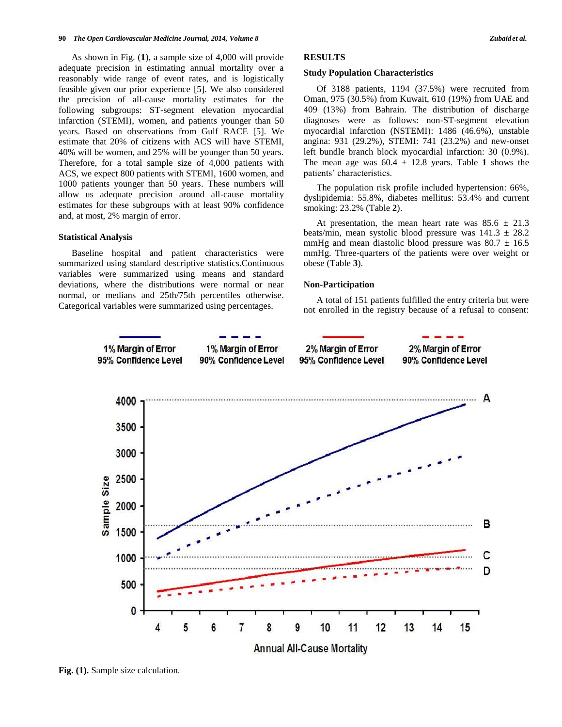#### **90** *The Open Cardiovascular Medicine Journal, 2014, Volume 8 Zubaid et al.*

As shown in Fig. (**1**), a sample size of 4,000 will provide adequate precision in estimating annual mortality over a reasonably wide range of event rates, and is logistically feasible given our prior experience [5]. We also considered the precision of all-cause mortality estimates for the following subgroups: ST-segment elevation myocardial infarction (STEMI), women, and patients younger than 50 years. Based on observations from Gulf RACE [5]. We estimate that 20% of citizens with ACS will have STEMI, 40% will be women, and 25% will be younger than 50 years. Therefore, for a total sample size of 4,000 patients with ACS, we expect 800 patients with STEMI, 1600 women, and 1000 patients younger than 50 years. These numbers will allow us adequate precision around all-cause mortality estimates for these subgroups with at least 90% confidence and, at most, 2% margin of error.

## **Statistical Analysis**

Baseline hospital and patient characteristics were summarized using standard descriptive statistics.Continuous variables were summarized using means and standard deviations, where the distributions were normal or near normal, or medians and 25th/75th percentiles otherwise. Categorical variables were summarized using percentages.

# **RESULTS**

## **Study Population Characteristics**

Of 3188 patients, 1194 (37.5%) were recruited from Oman, 975 (30.5%) from Kuwait, 610 (19%) from UAE and 409 (13%) from Bahrain. The distribution of discharge diagnoses were as follows: non-ST-segment elevation myocardial infarction (NSTEMI): 1486 (46.6%), unstable angina: 931 (29.2%), STEMI: 741 (23.2%) and new-onset left bundle branch block myocardial infarction: 30 (0.9%). The mean age was  $60.4 \pm 12.8$  years. Table 1 shows the patients' characteristics.

The population risk profile included hypertension: 66%, dyslipidemia: 55.8%, diabetes mellitus: 53.4% and current smoking: 23.2% (Table **2**).

At presentation, the mean heart rate was  $85.6 \pm 21.3$ beats/min, mean systolic blood pressure was  $141.3 \pm 28.2$ mmHg and mean diastolic blood pressure was  $80.7 \pm 16.5$ mmHg. Three-quarters of the patients were over weight or obese (Table **3**).

#### **Non-Participation**

A total of 151 patients fulfilled the entry criteria but were not enrolled in the registry because of a refusal to consent:



**Fig. (1).** Sample size calculation.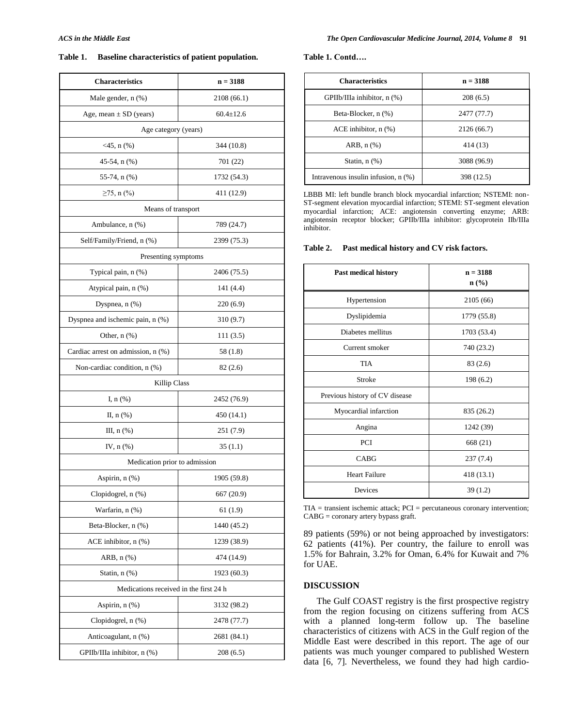# **Table 1. Baseline characteristics of patient population.**

| <b>Characteristics</b>                 | $n = 3188$      |  |  |
|----------------------------------------|-----------------|--|--|
| Male gender, n (%)                     | 2108 (66.1)     |  |  |
| Age, mean $\pm$ SD (years)             | $60.4 \pm 12.6$ |  |  |
| Age category (years)                   |                 |  |  |
| $<$ 45, n $(\% )$                      | 344 (10.8)      |  |  |
| 45-54, n (%)                           | 701 (22)        |  |  |
| 55-74, $n$ $(\%)$                      | 1732 (54.3)     |  |  |
| $≥75$ , n (%)                          | 411 (12.9)      |  |  |
| Means of transport                     |                 |  |  |
| Ambulance, n (%)                       | 789 (24.7)      |  |  |
| Self/Family/Friend, n (%)              | 2399 (75.3)     |  |  |
| Presenting symptoms                    |                 |  |  |
| Typical pain, n (%)                    | 2406 (75.5)     |  |  |
| Atypical pain, n (%)                   | 141 (4.4)       |  |  |
| Dyspnea, $n$ $(\%)$                    | 220 (6.9)       |  |  |
| Dyspnea and ischemic pain, n (%)       | 310 (9.7)       |  |  |
| Other, $n$ $(\%)$                      | 111 (3.5)       |  |  |
| Cardiac arrest on admission, n (%)     | 58 (1.8)        |  |  |
| Non-cardiac condition, n (%)           | 82(2.6)         |  |  |
| Killip Class                           |                 |  |  |
| I, $n$ $(\%)$                          | 2452 (76.9)     |  |  |
| II, $n$ $(\%)$                         | 450 (14.1)      |  |  |
| III, $n$ $(\%)$                        | 251 (7.9)       |  |  |
| IV, $n$ $(\%)$                         | 35(1.1)         |  |  |
| Medication prior to admission          |                 |  |  |
| Aspirin, n (%)                         | 1905 (59.8)     |  |  |
| Clopidogrel, n (%)                     | 667 (20.9)      |  |  |
| Warfarin, n (%)                        | 61 (1.9)        |  |  |
| Beta-Blocker, n (%)                    | 1440 (45.2)     |  |  |
| ACE inhibitor, $n$ $(\%)$              | 1239 (38.9)     |  |  |
| ARB, $n$ $%$                           | 474 (14.9)      |  |  |
| Statin, $n$ $(\%)$                     | 1923 (60.3)     |  |  |
| Medications received in the first 24 h |                 |  |  |
| Aspirin, n (%)                         | 3132 (98.2)     |  |  |
| Clopidogrel, n (%)                     | 2478 (77.7)     |  |  |
| Anticoagulant, n (%)                   | 2681 (84.1)     |  |  |
| GPIIb/IIIa inhibitor, n (%)            | 208(6.5)        |  |  |

**Table 1. Contd….**

| <b>Characteristics</b>                   | $n = 3188$  |
|------------------------------------------|-------------|
| GPIIb/IIIa inhibitor, n (%)              | 208(6.5)    |
| Beta-Blocker, n (%)                      | 2477 (77.7) |
| ACE inhibitor, $n$ $(\%)$                | 2126 (66.7) |
| ARB, $n$ $%$                             | 414 (13)    |
| Statin, $n$ $(\%)$                       | 3088 (96.9) |
| Intravenous insulin infusion, $n$ $(\%)$ | 398 (12.5)  |

LBBB MI: left bundle branch block myocardial infarction; NSTEMI: non-ST-segment elevation myocardial infarction; STEMI: ST-segment elevation myocardial infarction; ACE: angiotensin converting enzyme; ARB: angiotensin receptor blocker; GPIIb/IIIa inhibitor: glycoprotein IIb/IIIa inhibitor.

| <b>Table 2.</b> | Past medical history and CV risk factors. |  |  |  |
|-----------------|-------------------------------------------|--|--|--|
|-----------------|-------------------------------------------|--|--|--|

| <b>Past medical history</b>    | $n = 3188$<br>$\mathbf{n}(\%)$ |  |
|--------------------------------|--------------------------------|--|
| Hypertension                   | 2105 (66)                      |  |
| Dyslipidemia                   | 1779 (55.8)                    |  |
| Diabetes mellitus              | 1703 (53.4)                    |  |
| Current smoker                 | 740 (23.2)                     |  |
| TIA                            | 83(2.6)                        |  |
| Stroke                         | 198 (6.2)                      |  |
| Previous history of CV disease |                                |  |
| Myocardial infarction          | 835 (26.2)                     |  |
| Angina                         | 1242 (39)                      |  |
| <b>PCI</b>                     | 668 (21)                       |  |
| CABG                           | 237(7.4)                       |  |
| <b>Heart Failure</b>           | 418 (13.1)                     |  |
| Devices                        | 39(1.2)                        |  |

TIA = transient ischemic attack; PCI = percutaneous coronary intervention; CABG = coronary artery bypass graft.

89 patients (59%) or not being approached by investigators: 62 patients (41%). Per country, the failure to enroll was 1.5% for Bahrain, 3.2% for Oman, 6.4% for Kuwait and 7% for UAE.

# **DISCUSSION**

The Gulf COAST registry is the first prospective registry from the region focusing on citizens suffering from ACS with a planned long-term follow up. The baseline characteristics of citizens with ACS in the Gulf region of the Middle East were described in this report. The age of our patients was much younger compared to published Western data [6, 7]. Nevertheless, we found they had high cardio-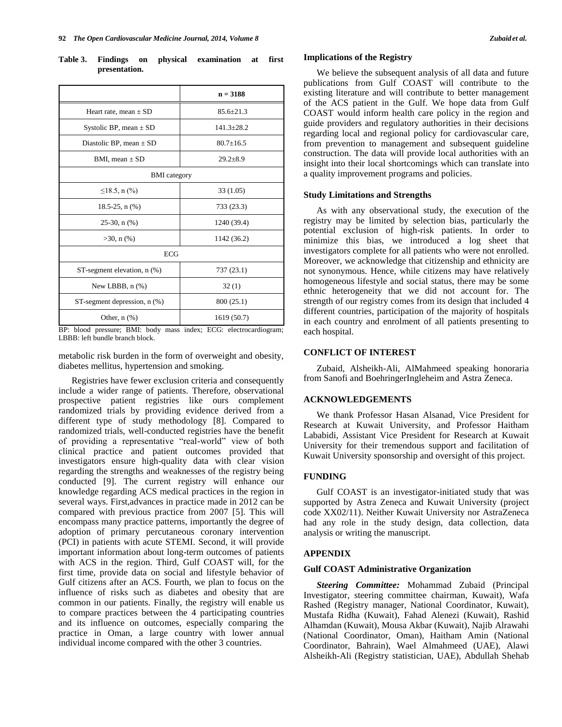|               |  | Table 3. Findings on physical examination at first |  |
|---------------|--|----------------------------------------------------|--|
| presentation. |  |                                                    |  |

|                                     | $n = 3188$      |  |
|-------------------------------------|-----------------|--|
| Heart rate, mean $\pm$ SD           | $85.6 \pm 21.3$ |  |
| Systolic BP, mean $\pm$ SD          | $141.3 + 28.2$  |  |
| Diastolic BP, mean $\pm$ SD         | $80.7 \pm 16.5$ |  |
| BMI, mean $\pm$ SD                  | $29.2 \pm 8.9$  |  |
| <b>BMI</b> category                 |                 |  |
| ≤18.5, n $\left(\frac{9}{6}\right)$ | 33 (1.05)       |  |
| 18.5-25, $n$ $(\%)$                 | 733 (23.3)      |  |
| $25-30$ , n $(\%)$                  | 1240 (39.4)     |  |
| $>30$ , n $(\%)$                    | 1142 (36.2)     |  |
| <b>ECG</b>                          |                 |  |
| ST-segment elevation, n (%)         | 737 (23.1)      |  |
| New LBBB, $n$ $(\%)$                | 32(1)           |  |
| ST-segment depression, n (%)        | 800 (25.1)      |  |
| Other, $n$ $(\%)$                   | 1619 (50.7)     |  |

BP: blood pressure; BMI: body mass index; ECG: electrocardiogram; LBBB: left bundle branch block.

metabolic risk burden in the form of overweight and obesity, diabetes mellitus, hypertension and smoking.

Registries have fewer exclusion criteria and consequently include a wider range of patients. Therefore, observational prospective patient registries like ours complement randomized trials by providing evidence derived from a different type of study methodology [8]. Compared to randomized trials, well-conducted registries have the benefit of providing a representative "real-world" view of both clinical practice and patient outcomes provided that investigators ensure high-quality data with clear vision regarding the strengths and weaknesses of the registry being conducted [9]. The current registry will enhance our knowledge regarding ACS medical practices in the region in several ways. First,advances in practice made in 2012 can be compared with previous practice from 2007 [5]. This will encompass many practice patterns, importantly the degree of adoption of primary percutaneous coronary intervention (PCI) in patients with acute STEMI. Second, it will provide important information about long-term outcomes of patients with ACS in the region. Third, Gulf COAST will, for the first time, provide data on social and lifestyle behavior of Gulf citizens after an ACS. Fourth, we plan to focus on the influence of risks such as diabetes and obesity that are common in our patients. Finally, the registry will enable us to compare practices between the 4 participating countries and its influence on outcomes, especially comparing the practice in Oman, a large country with lower annual individual income compared with the other 3 countries.

# **Implications of the Registry**

We believe the subsequent analysis of all data and future publications from Gulf COAST will contribute to the existing literature and will contribute to better management of the ACS patient in the Gulf. We hope data from Gulf COAST would inform health care policy in the region and guide providers and regulatory authorities in their decisions regarding local and regional policy for cardiovascular care, from prevention to management and subsequent guideline construction. The data will provide local authorities with an insight into their local shortcomings which can translate into a quality improvement programs and policies.

# **Study Limitations and Strengths**

As with any observational study, the execution of the registry may be limited by selection bias, particularly the potential exclusion of high-risk patients. In order to minimize this bias, we introduced a log sheet that investigators complete for all patients who were not enrolled. Moreover, we acknowledge that citizenship and ethnicity are not synonymous. Hence, while citizens may have relatively homogeneous lifestyle and social status, there may be some ethnic heterogeneity that we did not account for. The strength of our registry comes from its design that included 4 different countries, participation of the majority of hospitals in each country and enrolment of all patients presenting to each hospital.

## **CONFLICT OF INTEREST**

Zubaid, Alsheikh-Ali, AlMahmeed speaking honoraria from Sanofi and BoehringerIngleheim and Astra Zeneca.

## **ACKNOWLEDGEMENTS**

We thank Professor Hasan Alsanad, Vice President for Research at Kuwait University, and Professor Haitham Lababidi, Assistant Vice President for Research at Kuwait University for their tremendous support and facilitation of Kuwait University sponsorship and oversight of this project.

# **FUNDING**

Gulf COAST is an investigator-initiated study that was supported by Astra Zeneca and Kuwait University (project code XX02/11). Neither Kuwait University nor AstraZeneca had any role in the study design, data collection, data analysis or writing the manuscript.

# **APPENDIX**

## **Gulf COAST Administrative Organization**

*Steering Committee:* Mohammad Zubaid (Principal Investigator, steering committee chairman, Kuwait), Wafa Rashed (Registry manager, National Coordinator, Kuwait), Mustafa Ridha (Kuwait), Fahad Alenezi (Kuwait), Rashid Alhamdan (Kuwait), Mousa Akbar (Kuwait), Najib Alrawahi (National Coordinator, Oman), Haitham Amin (National Coordinator, Bahrain), Wael Almahmeed (UAE), Alawi Alsheikh-Ali (Registry statistician, UAE), Abdullah Shehab